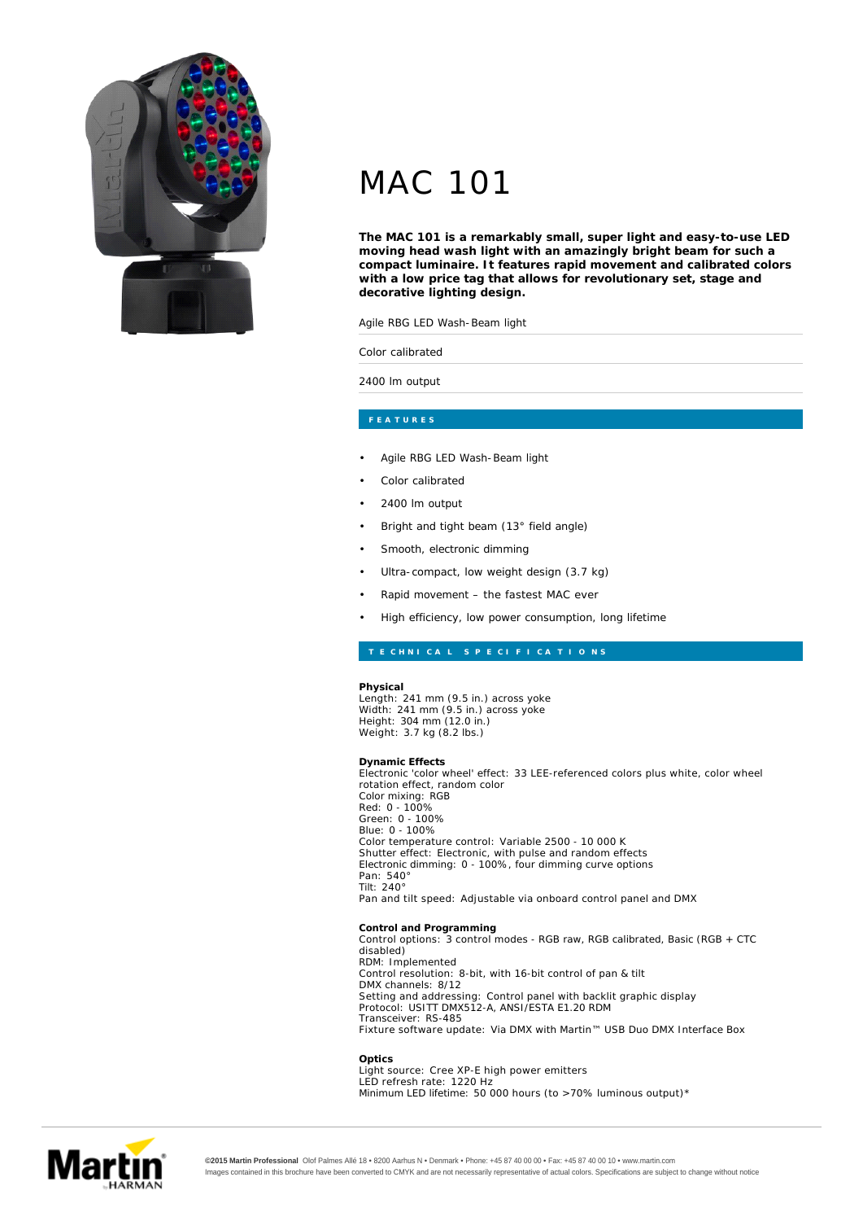

## MAC 101

**The MAC 101 is a remarkably small, super light and easy-to-use LED moving head wash light with an amazingly bright beam for such a compact luminaire. It features rapid movement and calibrated colors with a low price tag that allows for revolutionary set, stage and decorative lighting design.**

Agile RBG LED Wash-Beam light

Color calibrated

2400 lm output

- Agile RBG LED Wash-Beam light
- Color calibrated
	- 2400 lm output
- Bright and tight beam (13° field angle)
- Smooth, electronic dimming
- Ultra-compact, low weight design (3.7 kg)
- Rapid movement the fastest MAC ever
- High efficiency, low power consumption, long lifetime

**Physical** Length: 241 mm (9.5 in.) across yoke Width: 241 mm (9.5 in.) across yoke<br>Height: 304 mm (12.0 in.) Weight: 3.7 kg (8.2 lbs.)

**Dynamic Effects** Electronic 'color wheel' effect: 33 LEE-referenced colors plus white, color wheel rotation effect, random color Color mixing: RGB Red: 0 - 100%<br>Green: 0 - 100% Blue: 0 - 100% Color temperature control: Variable 2500 - 10 000 K Shutter effect: Electronic, with pulse and random effects<br>Electronic dimming: 0 - 100%, four dimming curve options 540° Pan: 240° Tilt: Pan and tilt speed: Adjustable via onboard control panel and DMX **Control and Programming**

Control options: 3 control modes - RGB raw, RGB calibrated, Basic (RGB  $+$  CTC disabled) RDM: Implemented Control resolution: 8-bit, with 16-bit control of pan & tilt DMX channels: 8/12 Setting and addressing: Control panel with backlit graphic display Protocol: USITT DMX512-A, ANSI/ESTA E1.20 RDM Transceiver: RS-485 Fixture software update: Via DMX with Martin™ USB Duo DMX Interface Box

**Optics** Light source: Cree XP-E high power emitters LED refresh rate: 1220 Hz Minimum LED lifetime: 50 000 hours (to  $>70\%$  luminous output)\*



**©2015 Martin Professional** Olof Palmes Allé 18 • 8200 Aarhus N • Denmark • Phone: +45 87 40 00 00 • Fax: +45 87 40 00 10 • www.martin.com Images contained in this brochure have been converted to CMYK and are not necessarily representative of actual colors. Specifications are subject to change without notice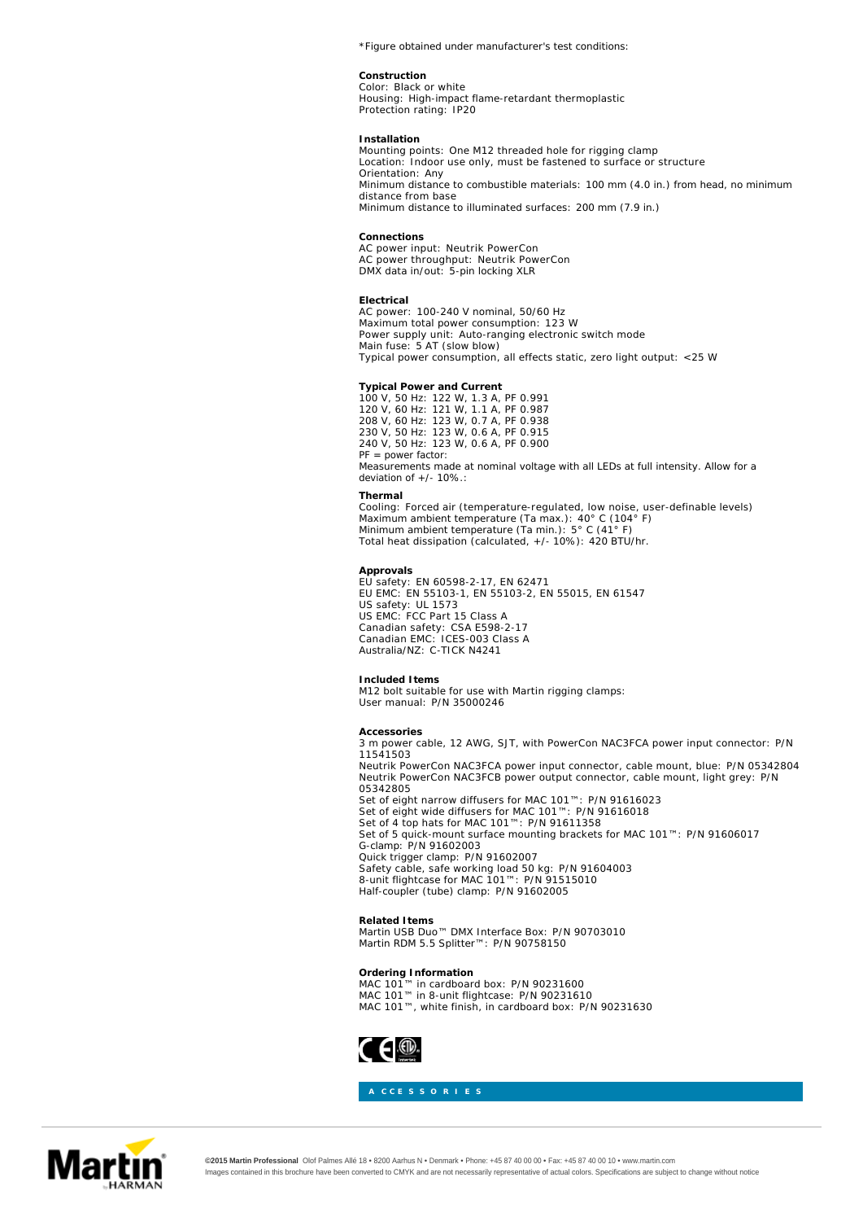*\*Figure obtained under manufacturer's test conditions:*

**Construction** Black or white Color: Housing: High-impact flame-retardant thermoplastic Protection rating: IP20

**Installation** Mounting points: One M12 threaded hole for rigging clamp Location: Indoor use only, must be fastened to surface or structure Orientation: Any Minimum distance to combustible materials: 100 mm (4.0 in.) from head, no minimum distance from base Minimum distance to illuminated surfaces: 200 mm (7.9 in.)

**Connections** AC power input: Neutrik PowerCon AC power throughput: Neutrik PowerCon DMX data in/out: 5-pin locking XLR

**Electrical** AC power: 100-240 V nominal, 50/60 Hz<br>Maximum total power consumption: 123 W Power supply unit: Auto-ranging electronic switch mode Main fuse: 5 AT (slow blow) Typical power consumption, all effects static, zero light output: <25 W

**Typical Power and Current** 122 W, 1.3 A, PF 0.991 121 W, 1.1 A, PF 0.987 123 W, 0.7 A, PF 0.938 123 W, 0.6 A, PF 0.915 123 W, 0.6 A, PF 0.900 100 V, 50 Hz: 120 V, 60 Hz: 208 V, 60 Hz: 230 V, 50 Hz: 240 V, 50 Hz: *PF = power factor: Measurements made at nominal voltage with all LEDs at full intensity. Allow for a deviation of +/- 10%.:*

**Thermal** Forced air (temperature-regulated, low noise, user-definable levels)<br>
a ambient temperature (Ta max.): 40° C (104° F)<br>
ambient temperature (Ta min.): 5° C (41° F) Total heat dissipation (calculated, +/- 10%): 420 BTU/hr. Cooling: Maximum ambient temperature (Ta max.): Minimum ambient temperature (Ta min.):

**Approvals**

EU safety: EN 60598-2-17, EN 62471<br>EU EMC: EN 55103-1, EN 55103-2, EN 55015, EN 61547 US safety: UL 1573<br>US EMC: FCC Part 15 Class A CSA E598-2-17 ICES-003 Class A C-TICK N4241 Canadian safety: Canadian EMC: Australia/NZ:

**Included Items** User manual: P/N 35000246 M12 bolt suitable for use with Martin rigging clamps:

**Accessories** 3 m power cable, 12 AWG, SJT, with PowerCon NAC3FCA power input connector: P/N<br>11541503 Neutrik PowerCon NAC3FCA power input connector, cable mount, blue: P/N 05342804 Neutrik PowerCon NAC3FCB power output connector, cable mount, light grey: P/N 05342805 Set of eight narrow diffusers for MAC 101™: P/N 91616023<br>Set of eight wide diffusers for MAC 101™: P/N 91616018 Set of 4 top hats for MAC 101™: P/N 91611358 Set of 5 quick-mount surface mounting brackets for MAC 101™: P/N 91606017 G-clamp: P/N 91602003 P/N 91602007<br>›rking load 50 kg: P/N 91604003<br>⁄lAC 101™: P/N 91515010 Half-coupler (tube) clamp: P/N 91602005 Quick trigger clamp: Safety cable, safe working load 50 kg: 8-unit flightcase for MAC 101™:

**Related Items** Martin USB Duo™ DMX Interface Box: P/N 90703010 Martin RDM 5.5 Splitter™: P/N 90758150

Ordering Information<br>MAC 101™ in cardboard box: P/N 90231600 MAC 101™ in 8-unit flightcase: P/N 90231610 MAC 101™, white finish, in cardboard box: P/N 90231630





**©2015 Martin Professional** Olof Palmes Allé 18 • 8200 Aarhus N • Denmark • Phone: +45 87 40 00 00 • Fax: +45 87 40 00 10 • www.martin.com Images contained in this brochure have been converted to CMYK and are not necessarily representative of actual colors. Specifications are subject to change without notice